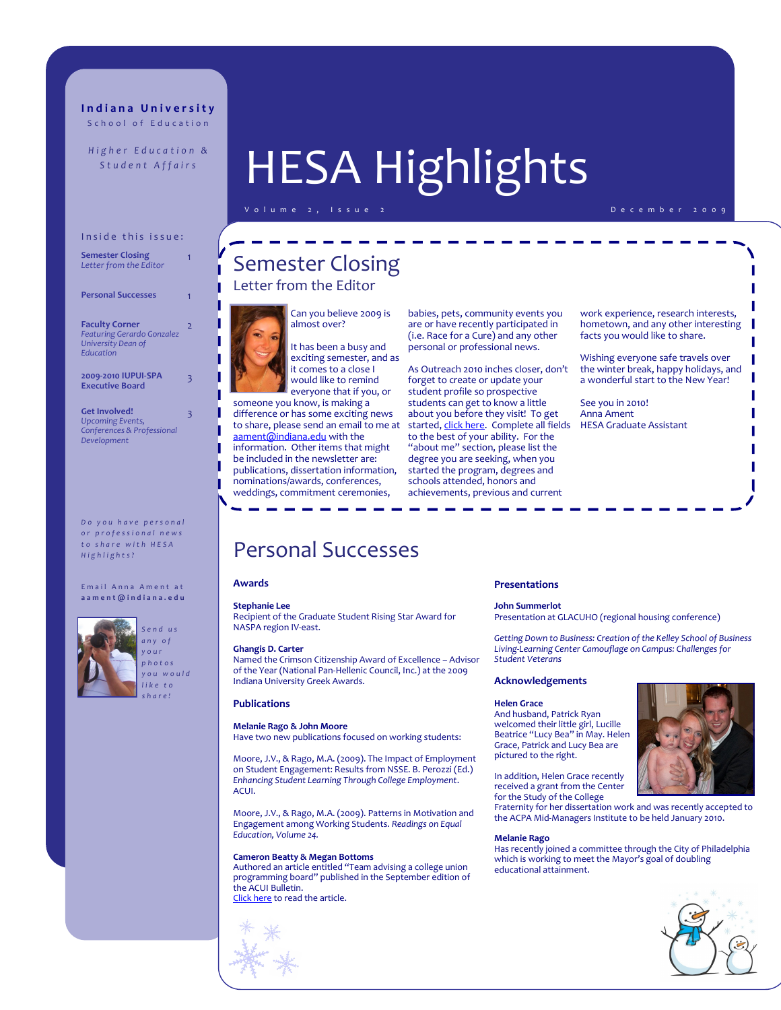# **I n d i a n a U n i v e r s i t y** School of Education

*Higher Education &* 

# Inside this issue:

| <b>Semester Closing</b><br>Letter from the Editor                                             |   |
|-----------------------------------------------------------------------------------------------|---|
| <b>Personal Successes</b>                                                                     |   |
| <b>Faculty Corner</b><br><b>Featuring Gerardo Gonzalez</b><br>University Dean of<br>Education | 2 |
| 2009-2010 IUPUI-SPA<br><b>Executive Board</b>                                                 | 3 |
| <b>Get Involved!</b>                                                                          |   |

**Get Involved!** *Upcoming Events, Conferences & Professional Development*

*Do you have personal o r p r o f e s s i o n a l n e w s t o s h a r e w i t h H E S A H i g h l i g h t s ?*

E mail Anna Ament at **a a m e n t @ i n d i a n a . e d u**



# *S e n d u s a n y o f y o u r p h o t o s y o u w o u l d l i k e t o s h a r e !*

# Student Affairs<sup>8</sup> | HESA Highlights

D e c e m b e r 2 0 0 9

# Semester Closing Letter from the Editor



Can you believe 2009 is

It has been a busy and exciting semester, and as it comes to a close I would like to remind everyone that if you, or

someone you know, is making a difference or has some exciting news to share, please send an email to me at [aament@indiana.edu](mailto:aament@indiana.edu) with the information. Other items that might be included in the newsletter are: publications, dissertation information, nominations/awards, conferences, weddings, commitment ceremonies,

babies, pets, community events you are or have recently participated in (i.e. Race for a Cure) and any other personal or professional news.

As Outreach 2010 inches closer, don't forget to create or update your student profile so prospective students can get to know a little about you before they visit! To get started, [click here.](https://info.educ.indiana.edu/profile/AddEditProfile.aspx) Complete all fields to the best of your ability. For the "about me" section, please list the degree you are seeking, when you started the program, degrees and schools attended, honors and achievements, previous and current

work experience, research interests, hometown, and any other interesting facts you would like to share.

Wishing everyone safe travels over the winter break, happy holidays, and a wonderful start to the New Year!

See you in 2010! Anna Ament HESA Graduate Assistant

# Personal Successes

# **Awards**

### **Stephanie Lee**

Recipient of the Graduate Student Rising Star Award for NASPA region IV-east.

## **Ghangis D. Carter**

Named the Crimson Citizenship Award of Excellence – Advisor of the Year (National Pan-Hellenic Council, Inc.) at the 2009 Indiana University Greek Awards.

## **Publications**

# **Melanie Rago & John Moore**

Have two new publications focused on working students:

Moore, J.V., & Rago, M.A. (2009). The Impact of Employment on Student Engagement: Results from NSSE. B. Perozzi (Ed.) *Enhancing Student Learning Through College Employment*. ACUI.

Moore, J.V., & Rago, M.A. (2009). Patterns in Motivation and Engagement among Working Students. *Readings on Equal Education, Volume 24.*

## **Cameron Beatty & Megan Bottoms**

Authored an article entitled "Team advising a college union programming board" published in the September edition of the ACUI Bulletin. [Click here](http://www.acui.org/publications/bulletin/article.aspx?issue=14872&id=10288) to read the article.



### **Presentations**

#### **John Summerlot**

Presentation at GLACUHO (regional housing conference)

*Getting Down to Business: Creation of the Kelley School of Business Living-Learning Center Camouflage on Campus: Challenges for Student Veterans*

## **Acknowledgements**

#### **Helen Grace**

And husband, Patrick Ryan welcomed their little girl, Lucille Beatrice "Lucy Bea" in May. Helen Grace, Patrick and Lucy Bea are pictured to the right.

In addition, Helen Grace recently received a grant from the Center for the Study of the College

Fraternity for her dissertation work and was recently accepted to the ACPA Mid-Managers Institute to be held January 2010.

#### **Melanie Rago**

Has recently joined a committee through the City of Philadelphia which is working to meet the Mayor's goal of doubling educational attainment.



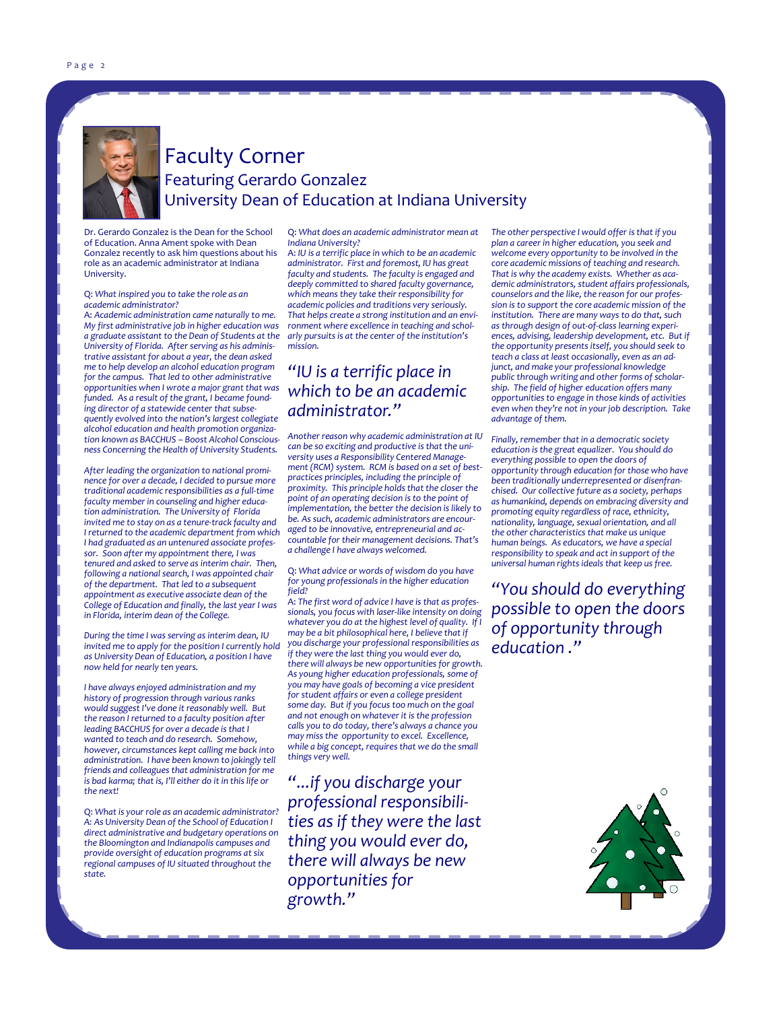

# Faculty Corner Featuring Gerardo Gonzalez University Dean of Education at Indiana University

Dr. Gerardo Gonzalez is the Dean for the School of Education. Anna Ament spoke with Dean Gonzalez recently to ask him questions about his role as an academic administrator at Indiana University.

Q: *What inspired you to take the role as an academic administrator?*

A: *Academic administration came naturally to me. My first administrative job in higher education was a graduate assistant to the Dean of Students at the University of Florida. After serving as his administrative assistant for about a year, the dean asked me to help develop an alcohol education program for the campus. That led to other administrative opportunities when I wrote a major grant that was funded. As a result of the grant, I became founding director of a statewide center that subsequently evolved into the nation's largest collegiate alcohol education and health promotion organization known as BACCHUS – Boost Alcohol Consciousness Concerning the Health of University Students.*

*After leading the organization to national prominence for over a decade, I decided to pursue more traditional academic responsibilities as a full-time faculty member in counseling and higher education administration. The University of Florida invited me to stay on as a tenure-track faculty and I returned to the academic department from which I had graduated as an untenured associate professor. Soon after my appointment there, I was tenured and asked to serve as interim chair. Then, following a national search, I was appointed chair of the department. That led to a subsequent appointment as executive associate dean of the College of Education and finally, the last year I was in Florida, interim dean of the College.*

*During the time I was serving as interim dean, IU invited me to apply for the position I currently hold as University Dean of Education, a position I have now held for nearly ten years.* 

*I have always enjoyed administration and my history of progression through various ranks would suggest I've done it reasonably well. But the reason I returned to a faculty position after leading BACCHUS for over a decade is that I wanted to teach and do research. Somehow, however, circumstances kept calling me back into administration. I have been known to jokingly tell friends and colleagues that administration for me is bad karma; that is, I'll either do it in this life or the next!*

Q: *What is your role as an academic administrator? A: As University Dean of the School of Education I direct administrative and budgetary operations on the Bloomington and Indianapolis campuses and provide oversight of education programs at six regional campuses of IU situated throughout the state.*

Q: *What does an academic administrator mean at Indiana University?*

A: *IU is a terrific place in which to be an academic administrator. First and foremost, IU has great faculty and students. The faculty is engaged and deeply committed to shared faculty governance, which means they take their responsibility for academic policies and traditions very seriously. That helps create a strong institution and an environment where excellence in teaching and scholarly pursuits is at the center of the institution's mission.*

# *"IU is a terrific place in which to be an academic administrator."*

*Another reason why academic administration at IU can be so exciting and productive is that the university uses a Responsibility Centered Management (RCM) system. RCM is based on a set of bestpractices principles, including the principle of proximity. This principle holds that the closer the point of an operating decision is to the point of implementation, the better the decision is likely to be. As such, academic administrators are encouraged to be innovative, entrepreneurial and accountable for their management decisions. That's a challenge I have always welcomed.*

Q: *What advice or words of wisdom do you have for young professionals in the higher education field?*

A: *The first word of advice I have is that as professionals, you focus with laser-like intensity on doing*  whatever you do at the highest level of quality. If *may be a bit philosophical here, I believe that if you discharge your professional responsibilities as if they were the last thing you would ever do, there will always be new opportunities for growth. As young higher education professionals, some of you may have goals of becoming a vice president for student affairs or even a college president some day. But if you focus too much on the goal and not enough on whatever it is the profession calls you to do today, there's always a chance you may miss the opportunity to excel. Excellence, while a big concept, requires that we do the small things very well.*

*"...if you discharge your professional responsibilities as if they were the last thing you would ever do, there will always be new opportunities for growth."* 

*The other perspective I would offer is that if you plan a career in higher education, you seek and welcome every opportunity to be involved in the core academic missions of teaching and research. That is why the academy exists. Whether as academic administrators, student affairs professionals, counselors and the like, the reason for our profession is to support the core academic mission of the institution. There are many ways to do that, such as through design of out-of-class learning experiences, advising, leadership development, etc. But if the opportunity presents itself, you should seek to teach a class at least occasionally, even as an adjunct, and make your professional knowledge public through writing and other forms of scholarship. The field of higher education offers many opportunities to engage in those kinds of activities even when they're not in your job description. Take advantage of them.*

*Finally, remember that in a democratic society education is the great equalizer. You should do everything possible to open the doors of opportunity through education for those who have been traditionally underrepresented or disenfranchised. Our collective future as a society, perhaps as humankind, depends on embracing diversity and promoting equity regardless of race, ethnicity, nationality, language, sexual orientation, and all the other characteristics that make us unique human beings. As educators, we have a special responsibility to speak and act in support of the universal human rights ideals that keep us free.*

*"You should do everything possible to open the doors of opportunity through education ."*